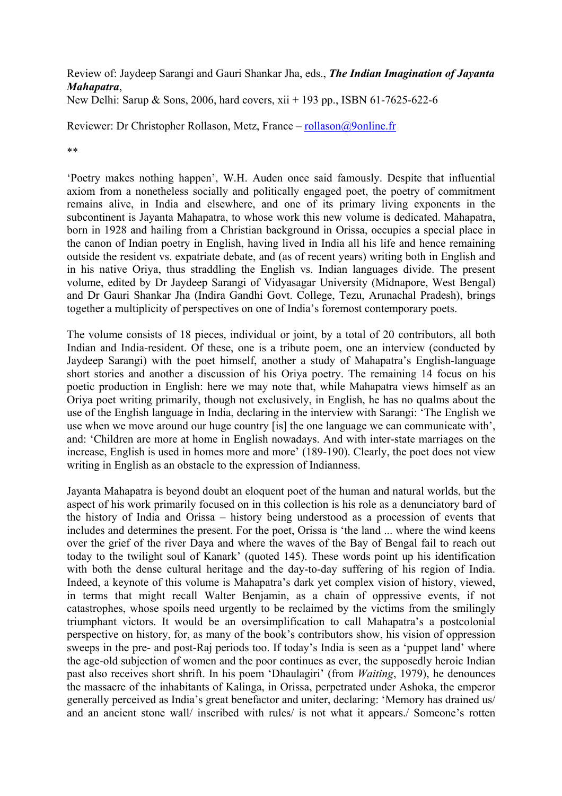## Review of: Jaydeep Sarangi and Gauri Shankar Jha, eds., *The Indian Imagination of Jayanta Mahapatra*,

New Delhi: Sarup & Sons, 2006, hard covers, xii + 193 pp., ISBN 61-7625-622-6

Reviewer: Dr Christopher Rollason, Metz, France – [rollason@9online.fr](mailto:rollason@9online.fr)

\*\*

'Poetry makes nothing happen', W.H. Auden once said famously. Despite that influential axiom from a nonetheless socially and politically engaged poet, the poetry of commitment remains alive, in India and elsewhere, and one of its primary living exponents in the subcontinent is Jayanta Mahapatra, to whose work this new volume is dedicated. Mahapatra, born in 1928 and hailing from a Christian background in Orissa, occupies a special place in the canon of Indian poetry in English, having lived in India all his life and hence remaining outside the resident vs. expatriate debate, and (as of recent years) writing both in English and in his native Oriya, thus straddling the English vs. Indian languages divide. The present volume, edited by Dr Jaydeep Sarangi of Vidyasagar University (Midnapore, West Bengal) and Dr Gauri Shankar Jha (Indira Gandhi Govt. College, Tezu, Arunachal Pradesh), brings together a multiplicity of perspectives on one of India's foremost contemporary poets.

The volume consists of 18 pieces, individual or joint, by a total of 20 contributors, all both Indian and India-resident. Of these, one is a tribute poem, one an interview (conducted by Jaydeep Sarangi) with the poet himself, another a study of Mahapatra's English-language short stories and another a discussion of his Oriya poetry. The remaining 14 focus on his poetic production in English: here we may note that, while Mahapatra views himself as an Oriya poet writing primarily, though not exclusively, in English, he has no qualms about the use of the English language in India, declaring in the interview with Sarangi: 'The English we use when we move around our huge country [is] the one language we can communicate with', and: 'Children are more at home in English nowadays. And with inter-state marriages on the increase, English is used in homes more and more' (189-190). Clearly, the poet does not view writing in English as an obstacle to the expression of Indianness.

Jayanta Mahapatra is beyond doubt an eloquent poet of the human and natural worlds, but the aspect of his work primarily focused on in this collection is his role as a denunciatory bard of the history of India and Orissa – history being understood as a procession of events that includes and determines the present. For the poet, Orissa is 'the land ... where the wind keens over the grief of the river Daya and where the waves of the Bay of Bengal fail to reach out today to the twilight soul of Kanark' (quoted 145). These words point up his identification with both the dense cultural heritage and the day-to-day suffering of his region of India. Indeed, a keynote of this volume is Mahapatra's dark yet complex vision of history, viewed, in terms that might recall Walter Benjamin, as a chain of oppressive events, if not catastrophes, whose spoils need urgently to be reclaimed by the victims from the smilingly triumphant victors. It would be an oversimplification to call Mahapatra's a postcolonial perspective on history, for, as many of the book's contributors show, his vision of oppression sweeps in the pre- and post-Raj periods too. If today's India is seen as a 'puppet land' where the age-old subjection of women and the poor continues as ever, the supposedly heroic Indian past also receives short shrift. In his poem 'Dhaulagiri' (from *Waiting*, 1979), he denounces the massacre of the inhabitants of Kalinga, in Orissa, perpetrated under Ashoka, the emperor generally perceived as India's great benefactor and uniter, declaring: 'Memory has drained us/ and an ancient stone wall/ inscribed with rules/ is not what it appears./ Someone's rotten